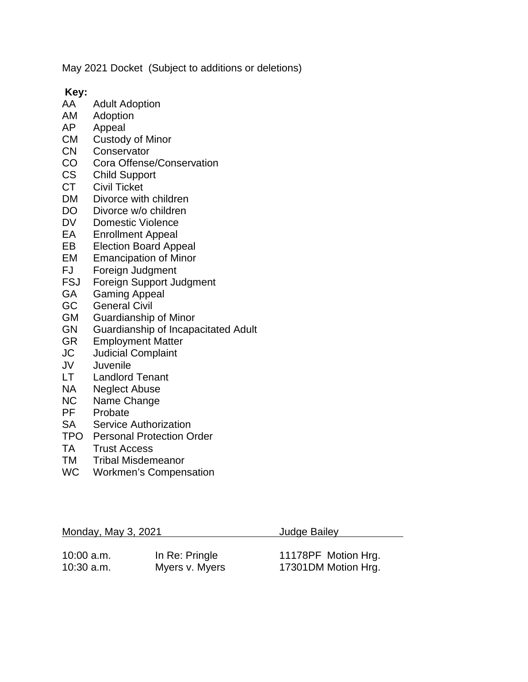May 2021 Docket (Subject to additions or deletions)

**Key:**

- **Adult Adoption**
- AM Adoption<br>AP Appeal
- Appeal
- CM Custody of Minor
- CN Conservator
- CO Cora Offense/Conservation
- CS Child Support<br>CT Civil Ticket
- Civil Ticket
- DM Divorce with children
- DO Divorce w/o children
- DV Domestic Violence<br>EA Enrollment Appeal
- **Enrollment Appeal**
- EB Election Board Appeal
- EM Emancipation of Minor<br>FJ Foreian Judament
- FJ Foreign Judgment<br>FSJ Foreign Support Ju
- FSJ Foreign Support Judgment<br>GA Gaming Appeal
- Gaming Appeal
- GC General Civil
- GM Guardianship of Minor
- GN Guardianship of Incapacitated Adult<br>GR Employment Matter
- **Employment Matter**
- JC Judicial Complaint
- JV Juvenile
- Landlord Tenant
- NA Neglect Abuse<br>NC Name Change
- NC Name Change<br>PF Probate
- Probate
- SA Service Authorization
- TPO Personal Protection Order
- TA Trust Access
- TM Tribal Misdemeanor
- WC Workmen's Compensation

| Monday, May 3, 2021 |                | Judge Bailey        |
|---------------------|----------------|---------------------|
| $10:00$ a.m.        | In Re: Pringle | 11178PF Motion Hrg. |
| $10:30$ a.m.        | Myers v. Myers | 17301DM Motion Hrg. |